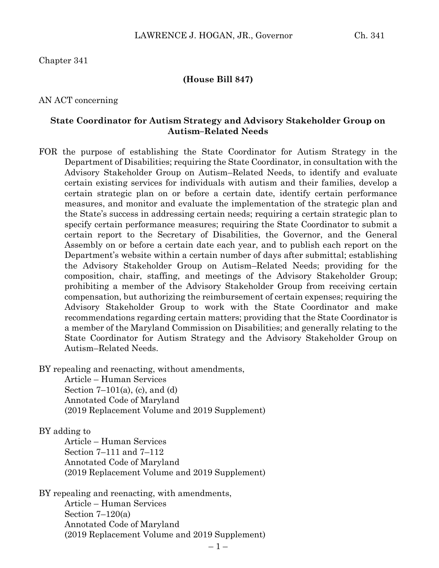### Chapter 341

#### **(House Bill 847)**

### AN ACT concerning

### **State Coordinator for Autism Strategy and Advisory Stakeholder Group on Autism–Related Needs**

FOR the purpose of establishing the State Coordinator for Autism Strategy in the Department of Disabilities; requiring the State Coordinator, in consultation with the Advisory Stakeholder Group on Autism–Related Needs, to identify and evaluate certain existing services for individuals with autism and their families, develop a certain strategic plan on or before a certain date, identify certain performance measures, and monitor and evaluate the implementation of the strategic plan and the State's success in addressing certain needs; requiring a certain strategic plan to specify certain performance measures; requiring the State Coordinator to submit a certain report to the Secretary of Disabilities, the Governor, and the General Assembly on or before a certain date each year, and to publish each report on the Department's website within a certain number of days after submittal; establishing the Advisory Stakeholder Group on Autism–Related Needs; providing for the composition, chair, staffing, and meetings of the Advisory Stakeholder Group; prohibiting a member of the Advisory Stakeholder Group from receiving certain compensation, but authorizing the reimbursement of certain expenses; requiring the Advisory Stakeholder Group to work with the State Coordinator and make recommendations regarding certain matters; providing that the State Coordinator is a member of the Maryland Commission on Disabilities; and generally relating to the State Coordinator for Autism Strategy and the Advisory Stakeholder Group on Autism–Related Needs.

BY repealing and reenacting, without amendments,

Article – Human Services Section  $7-101(a)$ , (c), and (d) Annotated Code of Maryland (2019 Replacement Volume and 2019 Supplement)

### BY adding to

Article – Human Services Section 7–111 and 7–112 Annotated Code of Maryland (2019 Replacement Volume and 2019 Supplement)

BY repealing and reenacting, with amendments,

Article – Human Services Section  $7-120(a)$ Annotated Code of Maryland (2019 Replacement Volume and 2019 Supplement)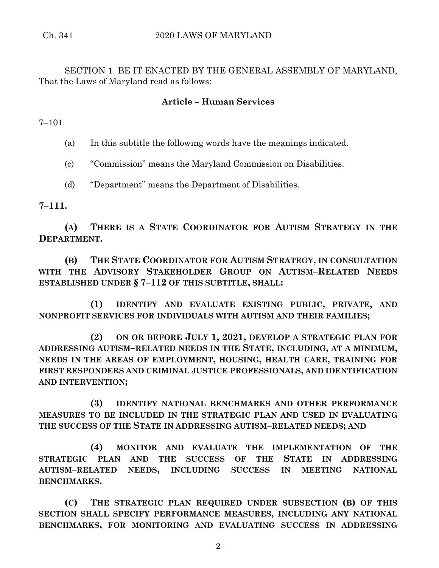SECTION 1. BE IT ENACTED BY THE GENERAL ASSEMBLY OF MARYLAND, That the Laws of Maryland read as follows:

# **Article – Human Services**

7–101.

(a) In this subtitle the following words have the meanings indicated.

(c) "Commission" means the Maryland Commission on Disabilities.

(d) "Department" means the Department of Disabilities.

**7–111.**

**(A) THERE IS A STATE COORDINATOR FOR AUTISM STRATEGY IN THE DEPARTMENT.**

**(B) THE STATE COORDINATOR FOR AUTISM STRATEGY, IN CONSULTATION WITH THE ADVISORY STAKEHOLDER GROUP ON AUTISM–RELATED NEEDS ESTABLISHED UNDER § 7–112 OF THIS SUBTITLE, SHALL:**

**(1) IDENTIFY AND EVALUATE EXISTING PUBLIC, PRIVATE, AND NONPROFIT SERVICES FOR INDIVIDUALS WITH AUTISM AND THEIR FAMILIES;**

**(2) ON OR BEFORE JULY 1, 2021, DEVELOP A STRATEGIC PLAN FOR ADDRESSING AUTISM–RELATED NEEDS IN THE STATE, INCLUDING, AT A MINIMUM, NEEDS IN THE AREAS OF EMPLOYMENT, HOUSING, HEALTH CARE, TRAINING FOR FIRST RESPONDERS AND CRIMINAL JUSTICE PROFESSIONALS, AND IDENTIFICATION AND INTERVENTION;**

**(3) IDENTIFY NATIONAL BENCHMARKS AND OTHER PERFORMANCE MEASURES TO BE INCLUDED IN THE STRATEGIC PLAN AND USED IN EVALUATING THE SUCCESS OF THE STATE IN ADDRESSING AUTISM–RELATED NEEDS; AND**

**(4) MONITOR AND EVALUATE THE IMPLEMENTATION OF THE STRATEGIC PLAN AND THE SUCCESS OF THE STATE IN ADDRESSING AUTISM–RELATED NEEDS, INCLUDING SUCCESS IN MEETING NATIONAL BENCHMARKS.**

**(C) THE STRATEGIC PLAN REQUIRED UNDER SUBSECTION (B) OF THIS SECTION SHALL SPECIFY PERFORMANCE MEASURES, INCLUDING ANY NATIONAL BENCHMARKS, FOR MONITORING AND EVALUATING SUCCESS IN ADDRESSING**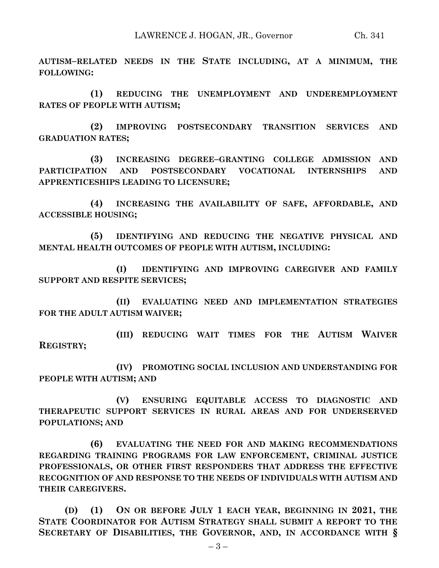**AUTISM–RELATED NEEDS IN THE STATE INCLUDING, AT A MINIMUM, THE FOLLOWING:**

**(1) REDUCING THE UNEMPLOYMENT AND UNDEREMPLOYMENT RATES OF PEOPLE WITH AUTISM;**

**(2) IMPROVING POSTSECONDARY TRANSITION SERVICES AND GRADUATION RATES;**

**(3) INCREASING DEGREE–GRANTING COLLEGE ADMISSION AND PARTICIPATION AND POSTSECONDARY VOCATIONAL INTERNSHIPS AND APPRENTICESHIPS LEADING TO LICENSURE;**

**(4) INCREASING THE AVAILABILITY OF SAFE, AFFORDABLE, AND ACCESSIBLE HOUSING;**

**(5) IDENTIFYING AND REDUCING THE NEGATIVE PHYSICAL AND MENTAL HEALTH OUTCOMES OF PEOPLE WITH AUTISM, INCLUDING:**

**(I) IDENTIFYING AND IMPROVING CAREGIVER AND FAMILY SUPPORT AND RESPITE SERVICES;**

**(II) EVALUATING NEED AND IMPLEMENTATION STRATEGIES FOR THE ADULT AUTISM WAIVER;**

**(III) REDUCING WAIT TIMES FOR THE AUTISM WAIVER REGISTRY;**

**(IV) PROMOTING SOCIAL INCLUSION AND UNDERSTANDING FOR PEOPLE WITH AUTISM; AND** 

**(V) ENSURING EQUITABLE ACCESS TO DIAGNOSTIC AND THERAPEUTIC SUPPORT SERVICES IN RURAL AREAS AND FOR UNDERSERVED POPULATIONS; AND**

**(6) EVALUATING THE NEED FOR AND MAKING RECOMMENDATIONS REGARDING TRAINING PROGRAMS FOR LAW ENFORCEMENT, CRIMINAL JUSTICE PROFESSIONALS, OR OTHER FIRST RESPONDERS THAT ADDRESS THE EFFECTIVE RECOGNITION OF AND RESPONSE TO THE NEEDS OF INDIVIDUALS WITH AUTISM AND THEIR CAREGIVERS.**

**(D) (1) ON OR BEFORE JULY 1 EACH YEAR, BEGINNING IN 2021, THE STATE COORDINATOR FOR AUTISM STRATEGY SHALL SUBMIT A REPORT TO THE SECRETARY OF DISABILITIES, THE GOVERNOR, AND, IN ACCORDANCE WITH §**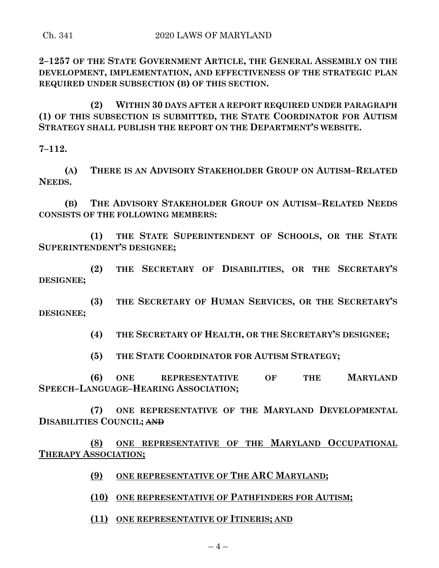**2–1257 OF THE STATE GOVERNMENT ARTICLE, THE GENERAL ASSEMBLY ON THE DEVELOPMENT, IMPLEMENTATION, AND EFFECTIVENESS OF THE STRATEGIC PLAN REQUIRED UNDER SUBSECTION (B) OF THIS SECTION.**

**(2) WITHIN 30 DAYS AFTER A REPORT REQUIRED UNDER PARAGRAPH (1) OF THIS SUBSECTION IS SUBMITTED, THE STATE COORDINATOR FOR AUTISM STRATEGY SHALL PUBLISH THE REPORT ON THE DEPARTMENT'S WEBSITE.**

**7–112.**

**(A) THERE IS AN ADVISORY STAKEHOLDER GROUP ON AUTISM–RELATED NEEDS.**

**(B) THE ADVISORY STAKEHOLDER GROUP ON AUTISM–RELATED NEEDS CONSISTS OF THE FOLLOWING MEMBERS:**

**(1) THE STATE SUPERINTENDENT OF SCHOOLS, OR THE STATE SUPERINTENDENT'S DESIGNEE;**

**(2) THE SECRETARY OF DISABILITIES, OR THE SECRETARY'S DESIGNEE;**

**(3) THE SECRETARY OF HUMAN SERVICES, OR THE SECRETARY'S DESIGNEE;**

**(4) THE SECRETARY OF HEALTH, OR THE SECRETARY'S DESIGNEE;**

**(5) THE STATE COORDINATOR FOR AUTISM STRATEGY;**

**(6) ONE REPRESENTATIVE OF THE MARYLAND SPEECH–LANGUAGE–HEARING ASSOCIATION;**

**(7) ONE REPRESENTATIVE OF THE MARYLAND DEVELOPMENTAL DISABILITIES COUNCIL; AND**

**(8) ONE REPRESENTATIVE OF THE MARYLAND OCCUPATIONAL THERAPY ASSOCIATION;**

- **(9) ONE REPRESENTATIVE OF THE ARC MARYLAND;**
- **(10) ONE REPRESENTATIVE OF PATHFINDERS FOR AUTISM;**

**(11) ONE REPRESENTATIVE OF ITINERIS; AND**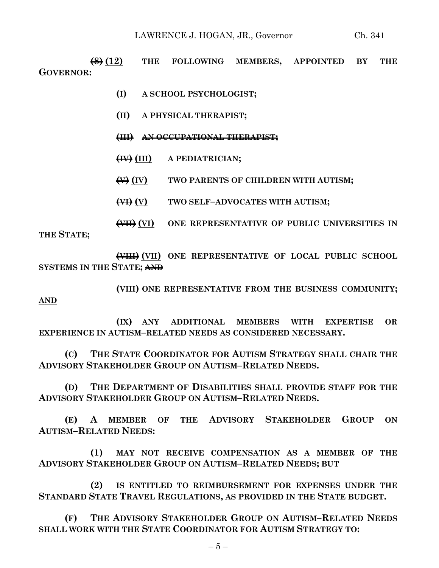**(8) (12) THE FOLLOWING MEMBERS, APPOINTED BY THE GOVERNOR:**

- **(I) A SCHOOL PSYCHOLOGIST;**
- **(II) A PHYSICAL THERAPIST;**
- **(III) AN OCCUPATIONAL THERAPIST;**
- **(IV) (III) A PEDIATRICIAN;**
- **(V) (IV) TWO PARENTS OF CHILDREN WITH AUTISM;**
- **(VI) (V) TWO SELF–ADVOCATES WITH AUTISM;**

**(VII) (VI) ONE REPRESENTATIVE OF PUBLIC UNIVERSITIES IN THE STATE;**

**(VIII) (VII) ONE REPRESENTATIVE OF LOCAL PUBLIC SCHOOL SYSTEMS IN THE STATE; AND**

**(VIII) ONE REPRESENTATIVE FROM THE BUSINESS COMMUNITY;**

**AND**

**(IX) ANY ADDITIONAL MEMBERS WITH EXPERTISE OR EXPERIENCE IN AUTISM–RELATED NEEDS AS CONSIDERED NECESSARY.**

**(C) THE STATE COORDINATOR FOR AUTISM STRATEGY SHALL CHAIR THE ADVISORY STAKEHOLDER GROUP ON AUTISM–RELATED NEEDS.**

**(D) THE DEPARTMENT OF DISABILITIES SHALL PROVIDE STAFF FOR THE ADVISORY STAKEHOLDER GROUP ON AUTISM–RELATED NEEDS.**

**(E) A MEMBER OF THE ADVISORY STAKEHOLDER GROUP ON AUTISM–RELATED NEEDS:**

**(1) MAY NOT RECEIVE COMPENSATION AS A MEMBER OF THE ADVISORY STAKEHOLDER GROUP ON AUTISM–RELATED NEEDS; BUT**

**(2) IS ENTITLED TO REIMBURSEMENT FOR EXPENSES UNDER THE STANDARD STATE TRAVEL REGULATIONS, AS PROVIDED IN THE STATE BUDGET.**

**(F) THE ADVISORY STAKEHOLDER GROUP ON AUTISM–RELATED NEEDS SHALL WORK WITH THE STATE COORDINATOR FOR AUTISM STRATEGY TO:**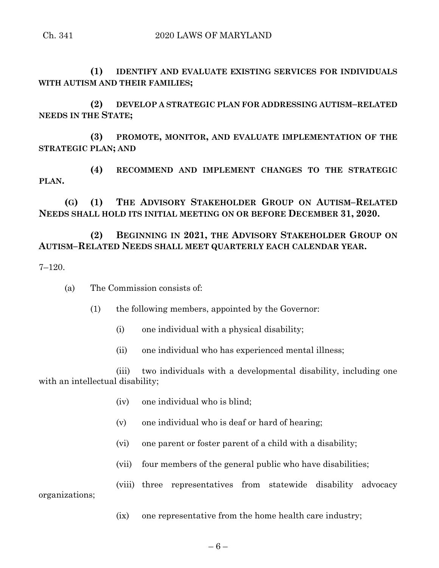**(1) IDENTIFY AND EVALUATE EXISTING SERVICES FOR INDIVIDUALS WITH AUTISM AND THEIR FAMILIES;**

**(2) DEVELOP A STRATEGIC PLAN FOR ADDRESSING AUTISM–RELATED NEEDS IN THE STATE;**

**(3) PROMOTE, MONITOR, AND EVALUATE IMPLEMENTATION OF THE STRATEGIC PLAN; AND**

**(4) RECOMMEND AND IMPLEMENT CHANGES TO THE STRATEGIC PLAN.**

**(G) (1) THE ADVISORY STAKEHOLDER GROUP ON AUTISM–RELATED NEEDS SHALL HOLD ITS INITIAL MEETING ON OR BEFORE DECEMBER 31, 2020.**

# **(2) BEGINNING IN 2021, THE ADVISORY STAKEHOLDER GROUP ON AUTISM–RELATED NEEDS SHALL MEET QUARTERLY EACH CALENDAR YEAR.**

7–120.

(a) The Commission consists of:

(1) the following members, appointed by the Governor:

- (i) one individual with a physical disability;
- (ii) one individual who has experienced mental illness;

(iii) two individuals with a developmental disability, including one with an intellectual disability;

- (iv) one individual who is blind;
- (v) one individual who is deaf or hard of hearing;
- (vi) one parent or foster parent of a child with a disability;
- (vii) four members of the general public who have disabilities;

(viii) three representatives from statewide disability advocacy organizations;

(ix) one representative from the home health care industry;